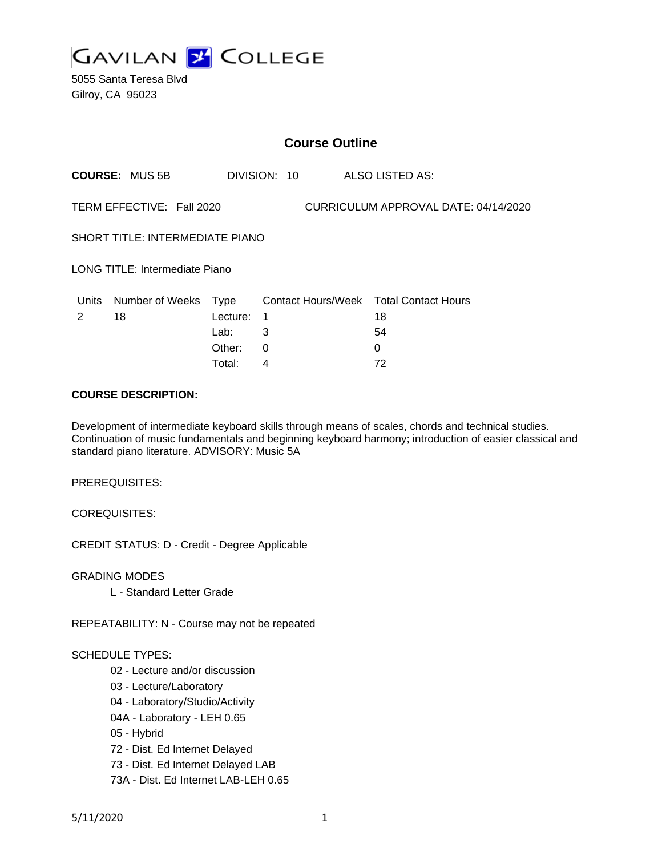

5055 Santa Teresa Blvd Gilroy, CA 95023

| <b>Course Outline</b>                                             |                       |          |              |                                        |
|-------------------------------------------------------------------|-----------------------|----------|--------------|----------------------------------------|
|                                                                   | <b>COURSE: MUS 5B</b> |          | DIVISION: 10 | ALSO LISTED AS:                        |
| TERM EFFECTIVE: Fall 2020<br>CURRICULUM APPROVAL DATE: 04/14/2020 |                       |          |              |                                        |
| SHORT TITLE: INTERMEDIATE PIANO                                   |                       |          |              |                                        |
| LONG TITLE: Intermediate Piano                                    |                       |          |              |                                        |
| Units                                                             | Number of Weeks Type  |          |              | Contact Hours/Week Total Contact Hours |
| 2                                                                 | 18                    | Lecture: | 1            | 18                                     |
|                                                                   |                       | Lab:     | 3            | 54                                     |
|                                                                   |                       | Other:   | $\Omega$     | 0                                      |
|                                                                   |                       | Total:   | 4            | 72                                     |

#### **COURSE DESCRIPTION:**

Development of intermediate keyboard skills through means of scales, chords and technical studies. Continuation of music fundamentals and beginning keyboard harmony; introduction of easier classical and standard piano literature. ADVISORY: Music 5A

PREREQUISITES:

COREQUISITES:

CREDIT STATUS: D - Credit - Degree Applicable

GRADING MODES

L - Standard Letter Grade

REPEATABILITY: N - Course may not be repeated

#### SCHEDULE TYPES:

- 02 Lecture and/or discussion
- 03 Lecture/Laboratory
- 04 Laboratory/Studio/Activity
- 04A Laboratory LEH 0.65
- 05 Hybrid
- 72 Dist. Ed Internet Delayed
- 73 Dist. Ed Internet Delayed LAB
- 73A Dist. Ed Internet LAB-LEH 0.65

5/11/2020 1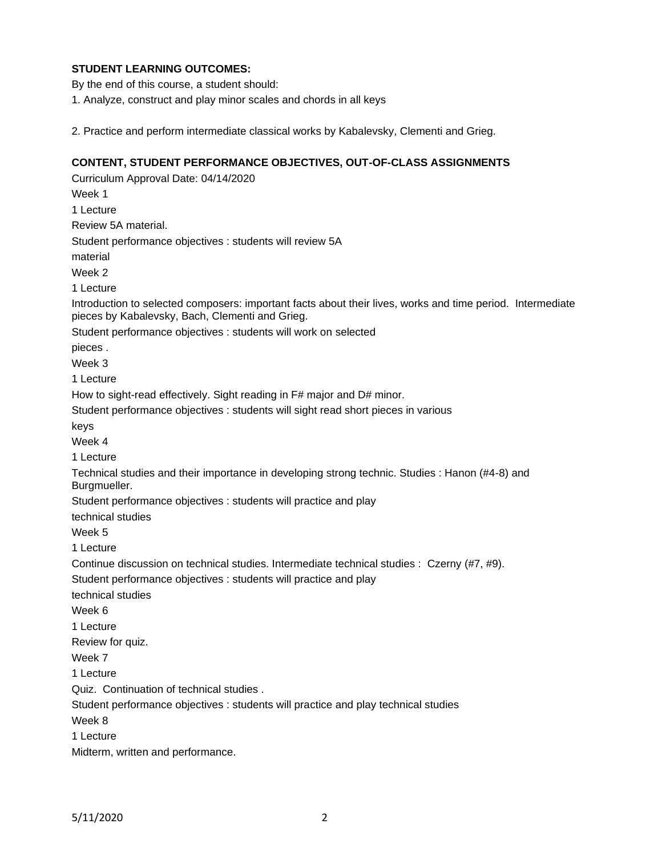# **STUDENT LEARNING OUTCOMES:**

By the end of this course, a student should:

1. Analyze, construct and play minor scales and chords in all keys

2. Practice and perform intermediate classical works by Kabalevsky, Clementi and Grieg.

#### **CONTENT, STUDENT PERFORMANCE OBJECTIVES, OUT-OF-CLASS ASSIGNMENTS**

Curriculum Approval Date: 04/14/2020 Week 1 1 Lecture Review 5A material. Student performance objectives : students will review 5A material Week 2 1 Lecture Introduction to selected composers: important facts about their lives, works and time period. Intermediate pieces by Kabalevsky, Bach, Clementi and Grieg. Student performance objectives : students will work on selected pieces . Week 3 1 Lecture How to sight-read effectively. Sight reading in F# major and D# minor. Student performance objectives : students will sight read short pieces in various keys Week 4 1 Lecture Technical studies and their importance in developing strong technic. Studies : Hanon (#4-8) and Burgmueller. Student performance objectives : students will practice and play technical studies Week 5 1 Lecture Continue discussion on technical studies. Intermediate technical studies : Czerny (#7, #9). Student performance objectives : students will practice and play technical studies Week 6 1 Lecture Review for quiz. Week 7 1 Lecture Quiz. Continuation of technical studies . Student performance objectives : students will practice and play technical studies Week 8 1 Lecture Midterm, written and performance.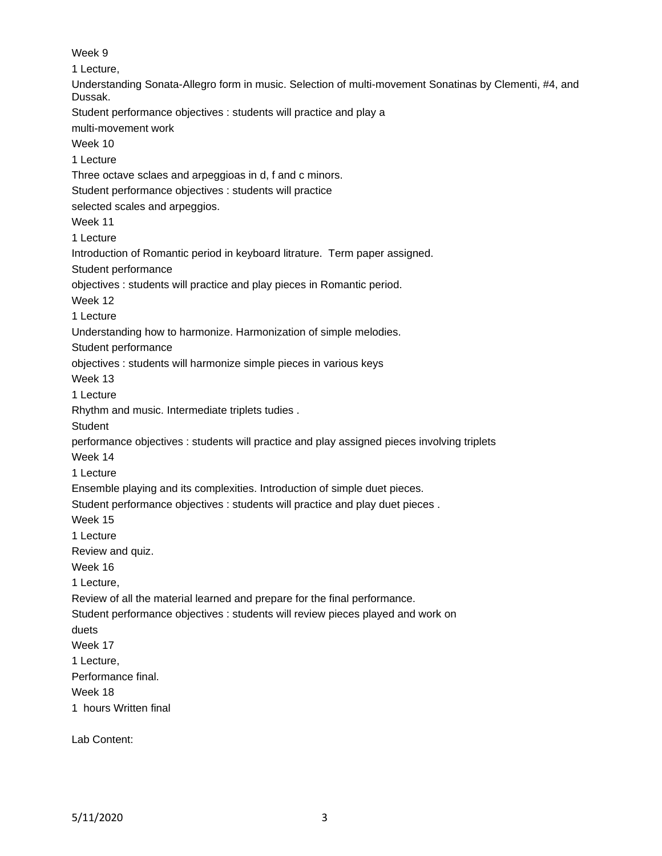Week 9 1 Lecture, Understanding Sonata-Allegro form in music. Selection of multi-movement Sonatinas by Clementi, #4, and Dussak. Student performance objectives : students will practice and play a multi-movement work Week 10 1 Lecture Three octave sclaes and arpeggioas in d, f and c minors. Student performance objectives : students will practice selected scales and arpeggios. Week 11 1 Lecture Introduction of Romantic period in keyboard litrature. Term paper assigned. Student performance objectives : students will practice and play pieces in Romantic period. Week 12 1 Lecture Understanding how to harmonize. Harmonization of simple melodies. Student performance objectives : students will harmonize simple pieces in various keys Week 13 1 Lecture Rhythm and music. Intermediate triplets tudies . **Student** performance objectives : students will practice and play assigned pieces involving triplets Week 14 1 Lecture Ensemble playing and its complexities. Introduction of simple duet pieces. Student performance objectives : students will practice and play duet pieces . Week 15 1 Lecture Review and quiz. Week 16 1 Lecture, Review of all the material learned and prepare for the final performance. Student performance objectives : students will review pieces played and work on duets Week 17 1 Lecture, Performance final. Week 18 1 hours Written final

Lab Content: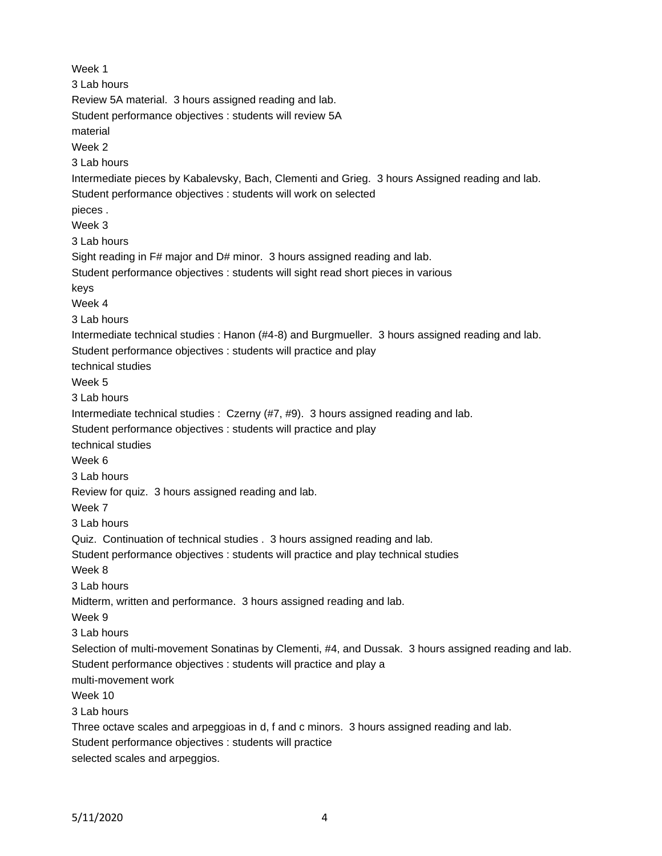Week 1 3 Lab hours Review 5A material. 3 hours assigned reading and lab. Student performance objectives : students will review 5A material Week 2 3 Lab hours Intermediate pieces by Kabalevsky, Bach, Clementi and Grieg. 3 hours Assigned reading and lab. Student performance objectives : students will work on selected pieces . Week 3 3 Lab hours Sight reading in F# major and D# minor. 3 hours assigned reading and lab. Student performance objectives : students will sight read short pieces in various keys Week 4 3 Lab hours Intermediate technical studies : Hanon (#4-8) and Burgmueller. 3 hours assigned reading and lab. Student performance objectives : students will practice and play technical studies Week 5 3 Lab hours Intermediate technical studies : Czerny (#7, #9). 3 hours assigned reading and lab. Student performance objectives : students will practice and play technical studies Week 6 3 Lab hours Review for quiz. 3 hours assigned reading and lab. Week 7 3 Lab hours Quiz. Continuation of technical studies . 3 hours assigned reading and lab. Student performance objectives : students will practice and play technical studies Week 8 3 Lab hours Midterm, written and performance. 3 hours assigned reading and lab. Week 9 3 Lab hours Selection of multi-movement Sonatinas by Clementi, #4, and Dussak. 3 hours assigned reading and lab. Student performance objectives : students will practice and play a multi-movement work Week 10 3 Lab hours Three octave scales and arpeggioas in d, f and c minors. 3 hours assigned reading and lab. Student performance objectives : students will practice selected scales and arpeggios.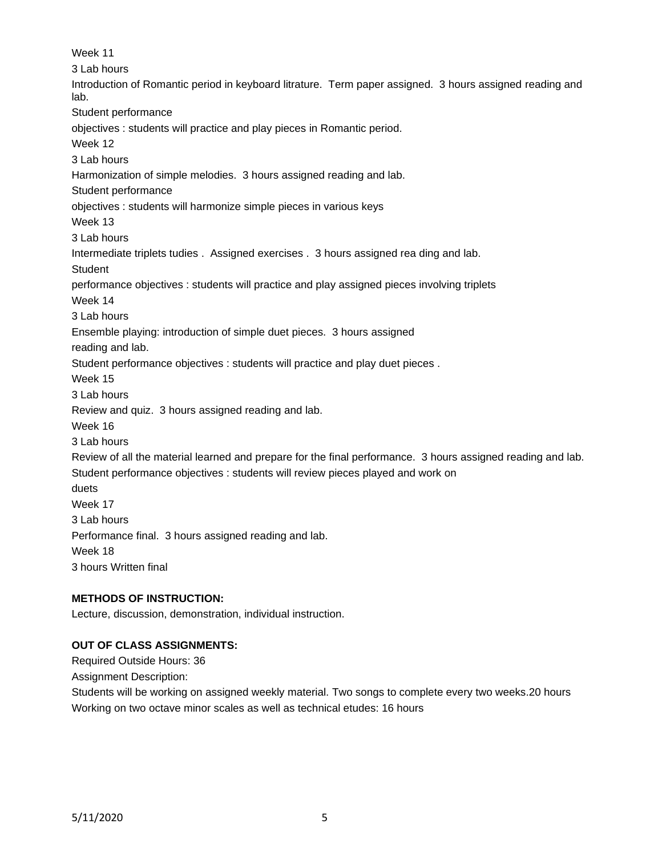Week 11 3 Lab hours Introduction of Romantic period in keyboard litrature. Term paper assigned. 3 hours assigned reading and lab. Student performance objectives : students will practice and play pieces in Romantic period. Week 12 3 Lab hours Harmonization of simple melodies. 3 hours assigned reading and lab. Student performance objectives : students will harmonize simple pieces in various keys Week 13 3 Lab hours Intermediate triplets tudies . Assigned exercises . 3 hours assigned rea ding and lab. **Student** performance objectives : students will practice and play assigned pieces involving triplets Week 14 3 Lab hours Ensemble playing: introduction of simple duet pieces. 3 hours assigned reading and lab. Student performance objectives : students will practice and play duet pieces . Week 15 3 Lab hours Review and quiz. 3 hours assigned reading and lab. Week 16 3 Lab hours Review of all the material learned and prepare for the final performance. 3 hours assigned reading and lab. Student performance objectives : students will review pieces played and work on duets Week 17 3 Lab hours Performance final. 3 hours assigned reading and lab. Week 18 3 hours Written final

# **METHODS OF INSTRUCTION:**

Lecture, discussion, demonstration, individual instruction.

## **OUT OF CLASS ASSIGNMENTS:**

Required Outside Hours: 36

Assignment Description:

Students will be working on assigned weekly material. Two songs to complete every two weeks.20 hours Working on two octave minor scales as well as technical etudes: 16 hours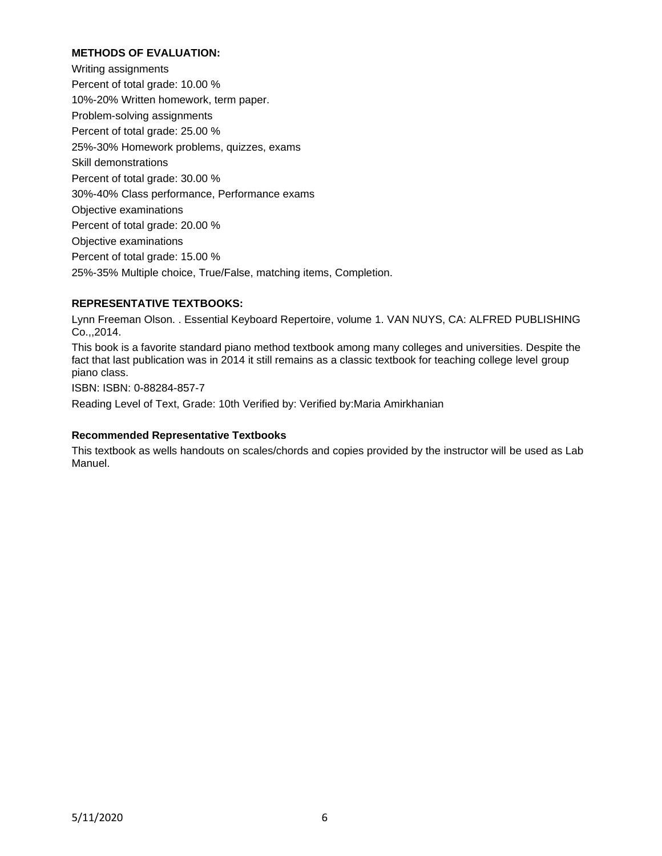## **METHODS OF EVALUATION:**

Writing assignments Percent of total grade: 10.00 % 10%-20% Written homework, term paper. Problem-solving assignments Percent of total grade: 25.00 % 25%-30% Homework problems, quizzes, exams Skill demonstrations Percent of total grade: 30.00 % 30%-40% Class performance, Performance exams Objective examinations Percent of total grade: 20.00 % Objective examinations Percent of total grade: 15.00 % 25%-35% Multiple choice, True/False, matching items, Completion.

# **REPRESENTATIVE TEXTBOOKS:**

Lynn Freeman Olson. . Essential Keyboard Repertoire, volume 1. VAN NUYS, CA: ALFRED PUBLISHING Co.,,2014.

This book is a favorite standard piano method textbook among many colleges and universities. Despite the fact that last publication was in 2014 it still remains as a classic textbook for teaching college level group piano class.

ISBN: ISBN: 0-88284-857-7

Reading Level of Text, Grade: 10th Verified by: Verified by:Maria Amirkhanian

#### **Recommended Representative Textbooks**

This textbook as wells handouts on scales/chords and copies provided by the instructor will be used as Lab Manuel.